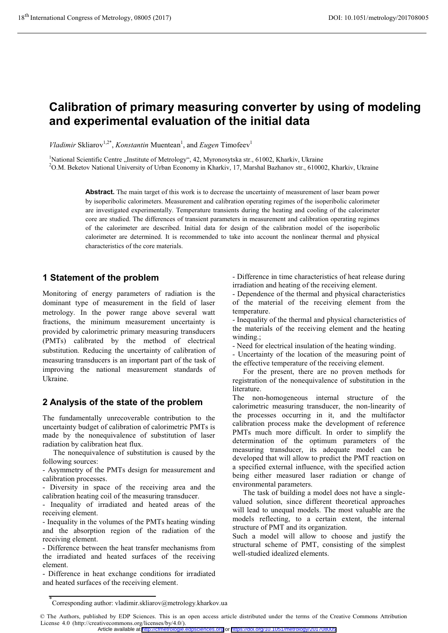# **Calibration of primary measuring converter by using of modeling and experimental evaluation of the initial data**

*Vladimir* Skliarov<sup>1,2\*</sup>, *Konstantin* Muentean<sup>1</sup>, and *Eugen* Timofeev<sup>1</sup>

<sup>1</sup>National Scientific Centre "Institute of Metrology", 42, Myronosytska str., 61002, Kharkiv, Ukraine<br><sup>2</sup>O M. Beketov National University of Urban Economy in Kharkiv, 17. Marshal Bazhanov str., 61000 <sup>2</sup>O.M. Beketov National University of Urban Economy in Kharkiv, 17, Marshal Bazhanov str., 610002, Kharkiv, Ukraine

> **Abstract.** The main target of this work is to decrease the uncertainty of measurement of laser beam power by isoperibolic calorimeters. Measurement and calibration operating regimes of the isoperibolic calorimeter are investigated experimentally. Temperature transients during the heating and cooling of the calorimeter core are studied. The differences of transient parameters in measurement and calibration operating regimes of the calorimeter are described. Initial data for design of the calibration model of the isoperibolic calorimeter are determined. It is recommended to take into account the nonlinear thermal and physical characteristics of the core materials.

## **1 Statement of the problem**

Monitoring of energy parameters of radiation is the dominant type of measurement in the field of laser metrology. In the power range above several watt fractions, the minimum measurement uncertainty is provided by calorimetric primary measuring transducers (PMTs) calibrated by the method of electrical substitution. Reducing the uncertainty of calibration of measuring transducers is an important part of the task of improving the national measurement standards of Ukraine.

# **2 Analysis of the state of the problem**

The fundamentally unrecoverable contribution to the uncertainty budget of calibration of calorimetric PMTs is made by the nonequivalence of substitution of laser radiation by calibration heat flux.

The nonequivalence of substitution is caused by the following sources:

- Asymmetry of the PMTs design for measurement and calibration processes.

- Diversity in space of the receiving area and the calibration heating coil of the measuring transducer.

- Inequality of irradiated and heated areas of the receiving element.

- Inequality in the volumes of the PMTs heating winding and the absorption region of the radiation of the receiving element.

- Difference between the heat transfer mechanisms from the irradiated and heated surfaces of the receiving element.

- Difference in heat exchange conditions for irradiated and heated surfaces of the receiving element.

- Difference in time characteristics of heat release during irradiation and heating of the receiving element.

- Dependence of the thermal and physical characteristics of the material of the receiving element from the temperature.

- Inequality of the thermal and physical characteristics of the materials of the receiving element and the heating winding.;

- Need for electrical insulation of the heating winding.

- Uncertainty of the location of the measuring point of the effective temperature of the receiving element.

For the present, there are no proven methods for registration of the nonequivalence of substitution in the literature.

The non-homogeneous internal structure of the calorimetric measuring transducer, the non-linearity of the processes occurring in it, and the multifactor calibration process make the development of reference PMTs much more difficult. In order to simplify the determination of the optimum parameters of the measuring transducer, its adequate model can be developed that will allow to predict the PMT reaction on a specified external influence, with the specified action being either measured laser radiation or change of environmental parameters.

The task of building a model does not have a singlevalued solution, since different theoretical approaches will lead to unequal models. The most valuable are the models reflecting, to a certain extent, the internal structure of PMT and its organization.

Such a model will allow to choose and justify the structural scheme of PMT, consisting of the simplest well-studied idealized elements.

Article available at <http://cfmetrologie.edpsciences.org> or <https://doi.org/10.1051/metrology/201708005>

<sup>\*</sup> Corresponding author: vladimir.skliarov@metrology.kharkov.ua

<sup>©</sup> The Authors, published by EDP Sciences. This is an open access article distributed under the terms of the Creative Commons Attribution License 4.0 (http://creativecommons.org/licenses/by/4.0/).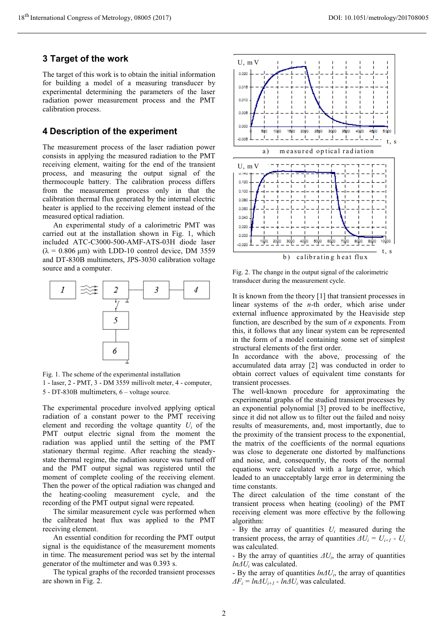## **3 Target of the work**

The target of this work is to obtain the initial information for building a model of a measuring transducer by experimental determining the parameters of the laser radiation power measurement process and the PMT calibration process.

#### **4 Description of the experiment**

The measurement process of the laser radiation power consists in applying the measured radiation to the PMT receiving element, waiting for the end of the transient process, and measuring the output signal of the thermocouple battery. The calibration process differs from the measurement process only in that the calibration thermal flux generated by the internal electric heater is applied to the receiving element instead of the measured optical radiation.

An experimental study of a calorimetric PMT was carried out at the installation shown in Fig. 1, which included ATC-C3000-500-AMF-ATS-03H diode laser  $(\lambda = 0.806 \text{ }\mu\text{m})$  with LDD-10 control device, DM 3559 and DT-830B multimeters, JPS-3030 calibration voltage source and a computer.



Fig. 1. The scheme of the experimental installation 1 - laser, 2 - PMT, 3 - DM 3559 millivolt meter, 4 - computer, 5 - DT-830B multimeters, 6 – voltage source.

The experimental procedure involved applying optical radiation of a constant power to the PMT receiving element and recording the voltage quantity  $U_i$  of the PMT output electric signal from the moment the radiation was applied until the setting of the PMT stationary thermal regime. After reaching the steadystate thermal regime, the radiation source was turned off and the PMT output signal was registered until the moment of complete cooling of the receiving element. Then the power of the optical radiation was changed and the heating-cooling measurement cycle, and the recording of the PMT output signal were repeated.

The similar measurement cycle was performed when the calibrated heat flux was applied to the PMT receiving element.

An essential condition for recording the PMT output signal is the equidistance of the measurement moments in time. The measurement period was set by the internal generator of the multimeter and was 0.393 s.

The typical graphs of the recorded transient processes are shown in Fig. 2.



Fig. 2. The change in the output signal of the calorimetric transducer during the measurement cycle.

It is known from the theory [1] that transient processes in linear systems of the *n*-th order, which arise under external influence approximated by the Heaviside step function, are described by the sum of *n* exponents. From this, it follows that any linear system can be represented in the form of a model containing some set of simplest structural elements of the first order.

In accordance with the above, processing of the accumulated data array [2] was conducted in order to obtain correct values of equivalent time constants for transient processes.

The well-known procedure for approximating the experimental graphs of the studied transient processes by an exponential polynomial [3] proved to be ineffective, since it did not allow us to filter out the failed and noisy results of measurements, and, most importantly, due to the proximity of the transient process to the exponential, the matrix of the coefficients of the normal equations was close to degenerate one distorted by malfunctions and noise, and, consequently, the roots of the normal equations were calculated with a large error, which leaded to an unacceptably large error in determining the time constants.

The direct calculation of the time constant of the transient process when heating (cooling) of the PMT receiving element was more effective by the following algorithm:

- By the array of quantities *Ui* measured during the transient process, the array of quantities  $\Delta U_i = U_{i+1} - U_i$ was calculated.

- By the array of quantities  $\Delta U_i$ , the array of quantities *lnΔU<sup>i</sup>* was calculated.

- By the array of quantities *lnΔUi*, the array of quantities  $\Delta F_i = ln\Delta U_{i+1} - ln\Delta U_i$  was calculated.